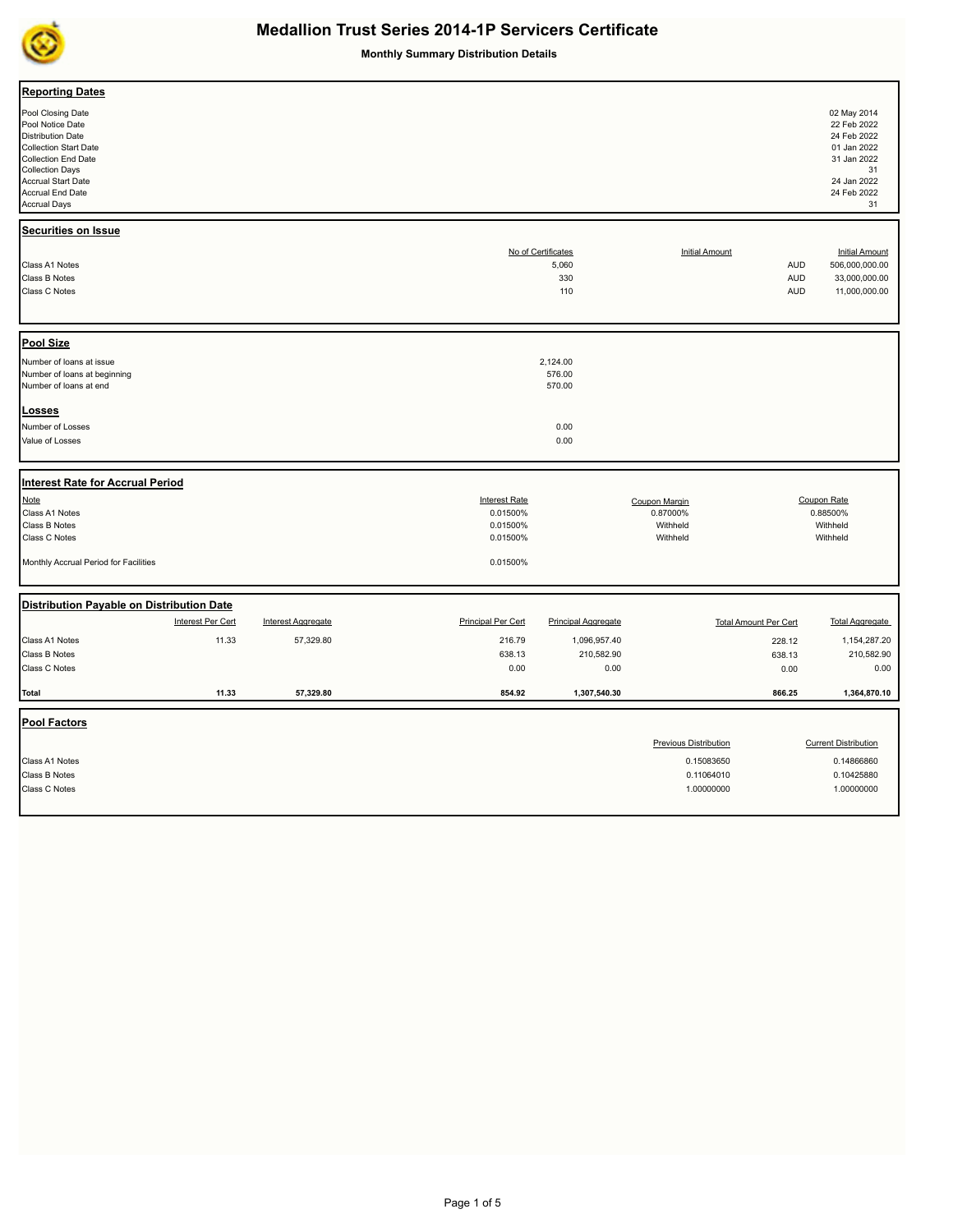

**Monthly Summary Distribution Details**

| <b>Reporting Dates</b>                                                                                                                                                                                       |                   |                           |                           |                                           |                              |                              |                                                                                                                   |
|--------------------------------------------------------------------------------------------------------------------------------------------------------------------------------------------------------------|-------------------|---------------------------|---------------------------|-------------------------------------------|------------------------------|------------------------------|-------------------------------------------------------------------------------------------------------------------|
| Pool Closing Date<br>Pool Notice Date<br>Distribution Date<br><b>Collection Start Date</b><br><b>Collection End Date</b><br><b>Collection Days</b><br>Accrual Start Date<br>Accrual End Date<br>Accrual Days |                   |                           |                           |                                           |                              |                              | 02 May 2014<br>22 Feb 2022<br>24 Feb 2022<br>01 Jan 2022<br>31 Jan 2022<br>31<br>24 Jan 2022<br>24 Feb 2022<br>31 |
| Securities on Issue                                                                                                                                                                                          |                   |                           |                           |                                           |                              |                              |                                                                                                                   |
| Class A1 Notes<br>Class B Notes<br>Class C Notes                                                                                                                                                             |                   |                           |                           | No of Certificates<br>5,060<br>330<br>110 | <b>Initial Amount</b>        | AUD<br><b>AUD</b><br>AUD     | <b>Initial Amount</b><br>506,000,000.00<br>33,000,000.00<br>11,000,000.00                                         |
| <b>Pool Size</b>                                                                                                                                                                                             |                   |                           |                           |                                           |                              |                              |                                                                                                                   |
| Number of loans at issue<br>Number of loans at beginning<br>Number of loans at end                                                                                                                           |                   |                           |                           | 2,124.00<br>576.00<br>570.00              |                              |                              |                                                                                                                   |
| <b>Losses</b>                                                                                                                                                                                                |                   |                           |                           |                                           |                              |                              |                                                                                                                   |
| Number of Losses<br>Value of Losses                                                                                                                                                                          |                   |                           |                           | 0.00<br>0.00                              |                              |                              |                                                                                                                   |
| <b>Interest Rate for Accrual Period</b>                                                                                                                                                                      |                   |                           |                           |                                           |                              |                              |                                                                                                                   |
| <b>Note</b>                                                                                                                                                                                                  |                   |                           | <b>Interest Rate</b>      |                                           | Coupon Margin                |                              | Coupon Rate                                                                                                       |
| Class A1 Notes                                                                                                                                                                                               |                   |                           | 0.01500%                  |                                           | 0.87000%<br>Withheld         |                              | 0.88500%<br>Withheld                                                                                              |
| Class B Notes<br>Class C Notes                                                                                                                                                                               |                   |                           | 0.01500%<br>0.01500%      |                                           | Withheld                     |                              | Withheld                                                                                                          |
| Monthly Accrual Period for Facilities                                                                                                                                                                        |                   |                           | 0.01500%                  |                                           |                              |                              |                                                                                                                   |
| Distribution Payable on Distribution Date                                                                                                                                                                    |                   |                           |                           |                                           |                              |                              |                                                                                                                   |
|                                                                                                                                                                                                              | Interest Per Cert | <b>Interest Aggregate</b> | <b>Principal Per Cert</b> | <b>Principal Aggregate</b>                |                              | <b>Total Amount Per Cert</b> | <b>Total Aggregate</b>                                                                                            |
| Class A1 Notes                                                                                                                                                                                               | 11.33             | 57,329.80                 | 216.79                    | 1,096,957.40                              |                              | 228.12                       | 1,154,287.20                                                                                                      |
| Class B Notes                                                                                                                                                                                                |                   |                           | 638.13                    | 210,582.90                                |                              | 638.13                       | 210,582.90                                                                                                        |
| Class C Notes                                                                                                                                                                                                |                   |                           | 0.00                      | 0.00                                      |                              | 0.00                         | 0.00                                                                                                              |
| <b>Total</b>                                                                                                                                                                                                 | 11.33             | 57,329.80                 | 854.92                    | 1,307,540.30                              |                              | 866.25                       | 1,364,870.10                                                                                                      |
| <b>Pool Factors</b>                                                                                                                                                                                          |                   |                           |                           |                                           |                              |                              |                                                                                                                   |
|                                                                                                                                                                                                              |                   |                           |                           |                                           | <b>Previous Distribution</b> |                              | <b>Current Distribution</b>                                                                                       |
| Class A1 Notes                                                                                                                                                                                               |                   |                           |                           |                                           | 0.15083650                   |                              | 0.14866860                                                                                                        |
| Class B Notes                                                                                                                                                                                                |                   |                           |                           |                                           | 0.11064010                   |                              | 0.10425880                                                                                                        |
| Class C Notes                                                                                                                                                                                                |                   |                           |                           |                                           | 1.00000000                   |                              | 1.00000000                                                                                                        |
|                                                                                                                                                                                                              |                   |                           |                           |                                           |                              |                              |                                                                                                                   |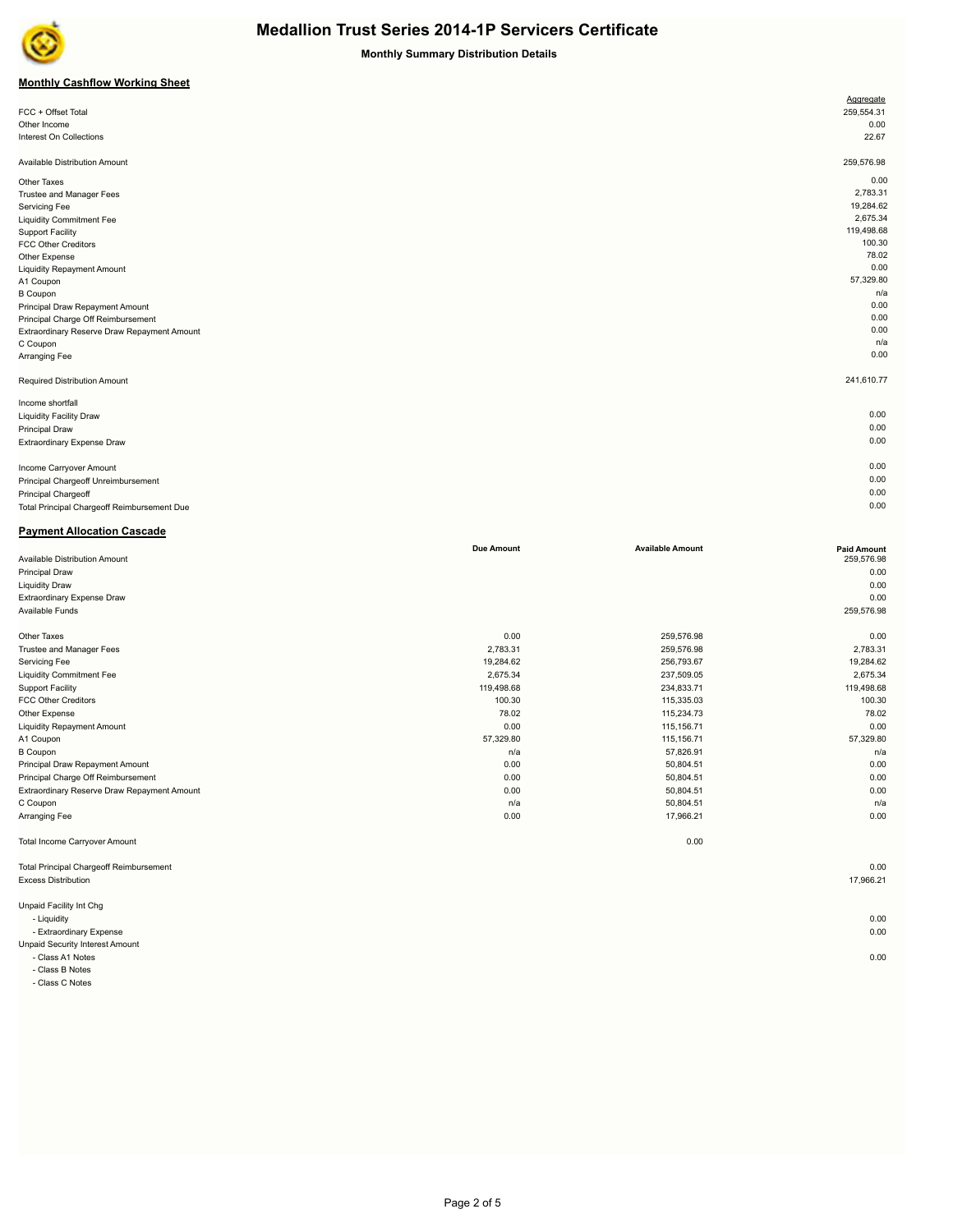

**Monthly Summary Distribution Details**

## **Monthly Cashflow Working Sheet**

|                                             | Aggregate  |
|---------------------------------------------|------------|
| FCC + Offset Total                          | 259,554.31 |
| Other Income                                | 0.00       |
| Interest On Collections                     | 22.67      |
| Available Distribution Amount               | 259,576.98 |
| Other Taxes                                 | 0.00       |
| Trustee and Manager Fees                    | 2,783.31   |
| Servicing Fee                               | 19,284.62  |
| <b>Liquidity Commitment Fee</b>             | 2,675.34   |
| <b>Support Facility</b>                     | 119,498.68 |
| <b>FCC Other Creditors</b>                  | 100.30     |
| Other Expense                               | 78.02      |
| <b>Liquidity Repayment Amount</b>           | 0.00       |
| A1 Coupon                                   | 57,329.80  |
| <b>B</b> Coupon                             | n/a        |
| Principal Draw Repayment Amount             | 0.00       |
| Principal Charge Off Reimbursement          | 0.00       |
| Extraordinary Reserve Draw Repayment Amount | 0.00       |
| C Coupon                                    | n/a        |
| Arranging Fee                               | 0.00       |
| Required Distribution Amount                | 241,610.77 |
| Income shortfall                            |            |
| <b>Liquidity Facility Draw</b>              | 0.00       |
| <b>Principal Draw</b>                       | 0.00       |
| Extraordinary Expense Draw                  | 0.00       |
| Income Carryover Amount                     | 0.00       |
| Principal Chargeoff Unreimbursement         | 0.00       |
| Principal Chargeoff                         | 0.00       |
| Total Principal Chargeoff Reimbursement Due | 0.00       |
|                                             |            |

## **Payment Allocation Cascade**

|                                                | <b>Due Amount</b> | <b>Available Amount</b> | <b>Paid Amount</b> |
|------------------------------------------------|-------------------|-------------------------|--------------------|
| Available Distribution Amount                  |                   |                         | 259,576.98         |
| Principal Draw                                 |                   |                         | 0.00               |
| <b>Liquidity Draw</b>                          |                   |                         | 0.00               |
| Extraordinary Expense Draw                     |                   |                         | 0.00               |
| Available Funds                                |                   |                         | 259,576.98         |
| Other Taxes                                    | 0.00              | 259,576.98              | 0.00               |
| Trustee and Manager Fees                       | 2,783.31          | 259,576.98              | 2,783.31           |
| Servicing Fee                                  | 19,284.62         | 256,793.67              | 19,284.62          |
| <b>Liquidity Commitment Fee</b>                | 2,675.34          | 237,509.05              | 2,675.34           |
| <b>Support Facility</b>                        | 119,498.68        | 234,833.71              | 119,498.68         |
| <b>FCC Other Creditors</b>                     | 100.30            | 115,335.03              | 100.30             |
| Other Expense                                  | 78.02             | 115,234.73              | 78.02              |
| <b>Liquidity Repayment Amount</b>              | 0.00              | 115,156.71              | 0.00               |
| A1 Coupon                                      | 57,329.80         | 115,156.71              | 57,329.80          |
| <b>B</b> Coupon                                | n/a               | 57,826.91               | n/a                |
| Principal Draw Repayment Amount                | 0.00              | 50,804.51               | 0.00               |
| Principal Charge Off Reimbursement             | 0.00              | 50,804.51               | 0.00               |
| Extraordinary Reserve Draw Repayment Amount    | 0.00              | 50,804.51               | 0.00               |
| C Coupon                                       | n/a               | 50,804.51               | n/a                |
| Arranging Fee                                  | 0.00              | 17,966.21               | 0.00               |
| Total Income Carryover Amount                  |                   | 0.00                    |                    |
| <b>Total Principal Chargeoff Reimbursement</b> |                   |                         | 0.00               |
| <b>Excess Distribution</b>                     |                   |                         | 17,966.21          |
| Unpaid Facility Int Chg                        |                   |                         |                    |
| - Liquidity                                    |                   |                         | 0.00               |
| - Extraordinary Expense                        |                   |                         | 0.00               |
| Unpaid Security Interest Amount                |                   |                         |                    |
| - Class A1 Notes                               |                   |                         | 0.00               |
| - Class B Notes                                |                   |                         |                    |

- Class C Notes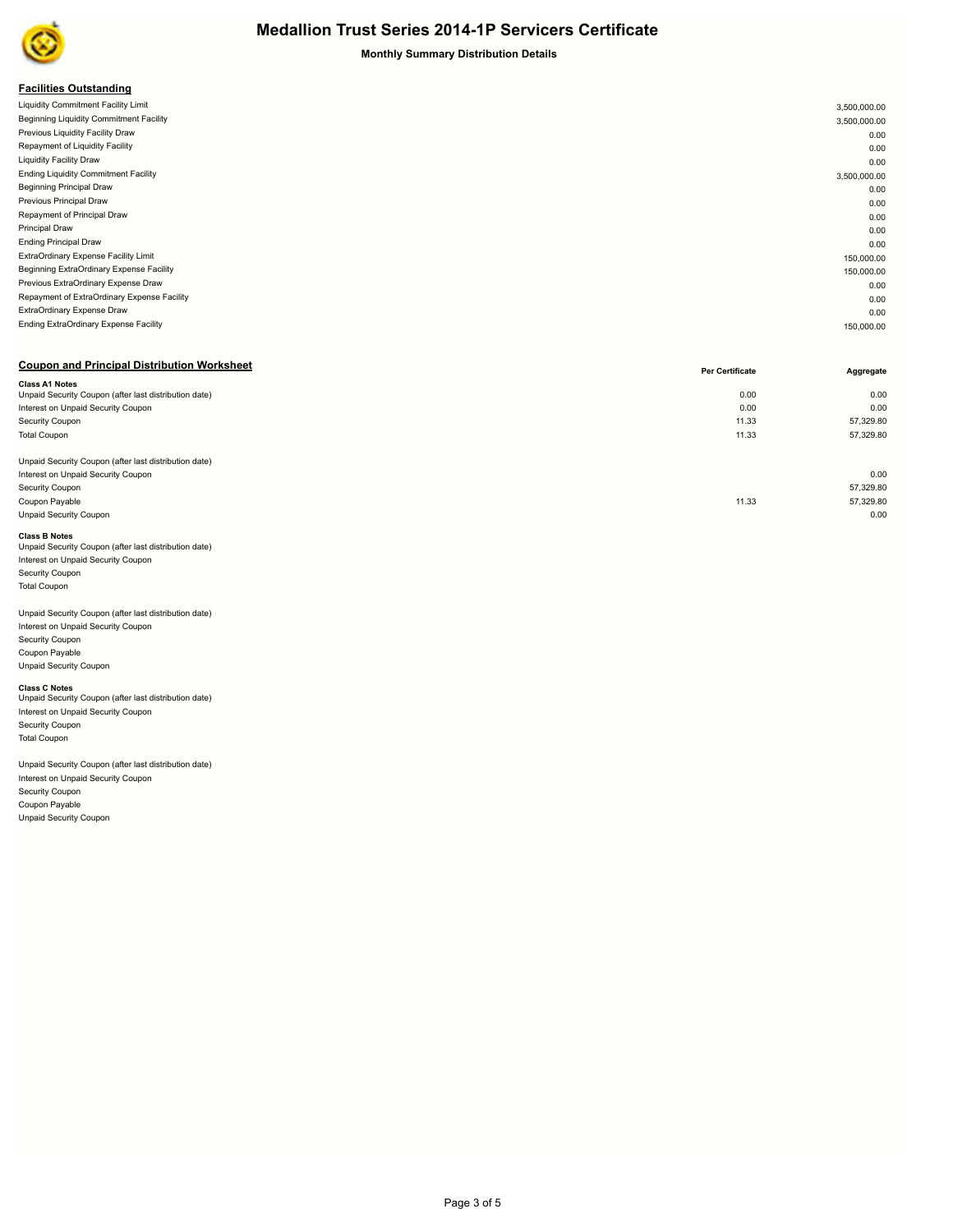

**Monthly Summary Distribution Details**

| <b>Facilities Outstanding</b> |  |
|-------------------------------|--|
|-------------------------------|--|

| Liquidity Commitment Facility Limit         | 3,500,000.00 |
|---------------------------------------------|--------------|
| Beginning Liquidity Commitment Facility     | 3,500,000.00 |
| Previous Liquidity Facility Draw            | 0.00         |
| Repayment of Liquidity Facility             | 0.00         |
| <b>Liquidity Facility Draw</b>              | 0.00         |
| <b>Ending Liquidity Commitment Facility</b> | 3,500,000.00 |
| <b>Beginning Principal Draw</b>             | 0.00         |
| Previous Principal Draw                     | 0.00         |
| Repayment of Principal Draw                 | 0.00         |
| Principal Draw                              | 0.00         |
| <b>Ending Principal Draw</b>                | 0.00         |
| ExtraOrdinary Expense Facility Limit        | 150,000.00   |
| Beginning ExtraOrdinary Expense Facility    | 150,000.00   |
| Previous ExtraOrdinary Expense Draw         | 0.00         |
| Repayment of ExtraOrdinary Expense Facility | 0.00         |
| ExtraOrdinary Expense Draw                  | 0.00         |
| Ending ExtraOrdinary Expense Facility       | 150,000.00   |
|                                             |              |

| <b>Coupon and Principal Distribution Worksheet</b>    | <b>Per Certificate</b> | Aggregate |
|-------------------------------------------------------|------------------------|-----------|
| <b>Class A1 Notes</b>                                 |                        |           |
| Unpaid Security Coupon (after last distribution date) | 0.00                   | 0.00      |
| Interest on Unpaid Security Coupon                    | 0.00                   | 0.00      |
| Security Coupon                                       | 11.33                  | 57,329.80 |
| <b>Total Coupon</b>                                   | 11.33                  | 57,329.80 |
|                                                       |                        |           |
| Unpaid Security Coupon (after last distribution date) |                        |           |
| Interest on Unpaid Security Coupon                    |                        | 0.00      |
| Security Coupon                                       |                        | 57,329.80 |
| Coupon Payable                                        | 11.33                  | 57,329.80 |
| Unpaid Security Coupon                                |                        | 0.00      |
|                                                       |                        |           |

**Class B Notes**<br>Unpaid Security Coupon (after last distribution date) Interest on Unpaid Security Coupon Security Coupon Total Coupon

#### Unpaid Security Coupon (after last distribution date)

Interest on Unpaid Security Coupon Security Coupon Coupon Payable Unpaid Security Coupon

#### **Class C Notes**

Unpaid Security Coupon (after last distribution date) Interest on Unpaid Security Coupon Security Coupon Total Coupon

### Unpaid Security Coupon (after last distribution date)

Interest on Unpaid Security Coupon Security Coupon Coupon Payable

Unpaid Security Coupon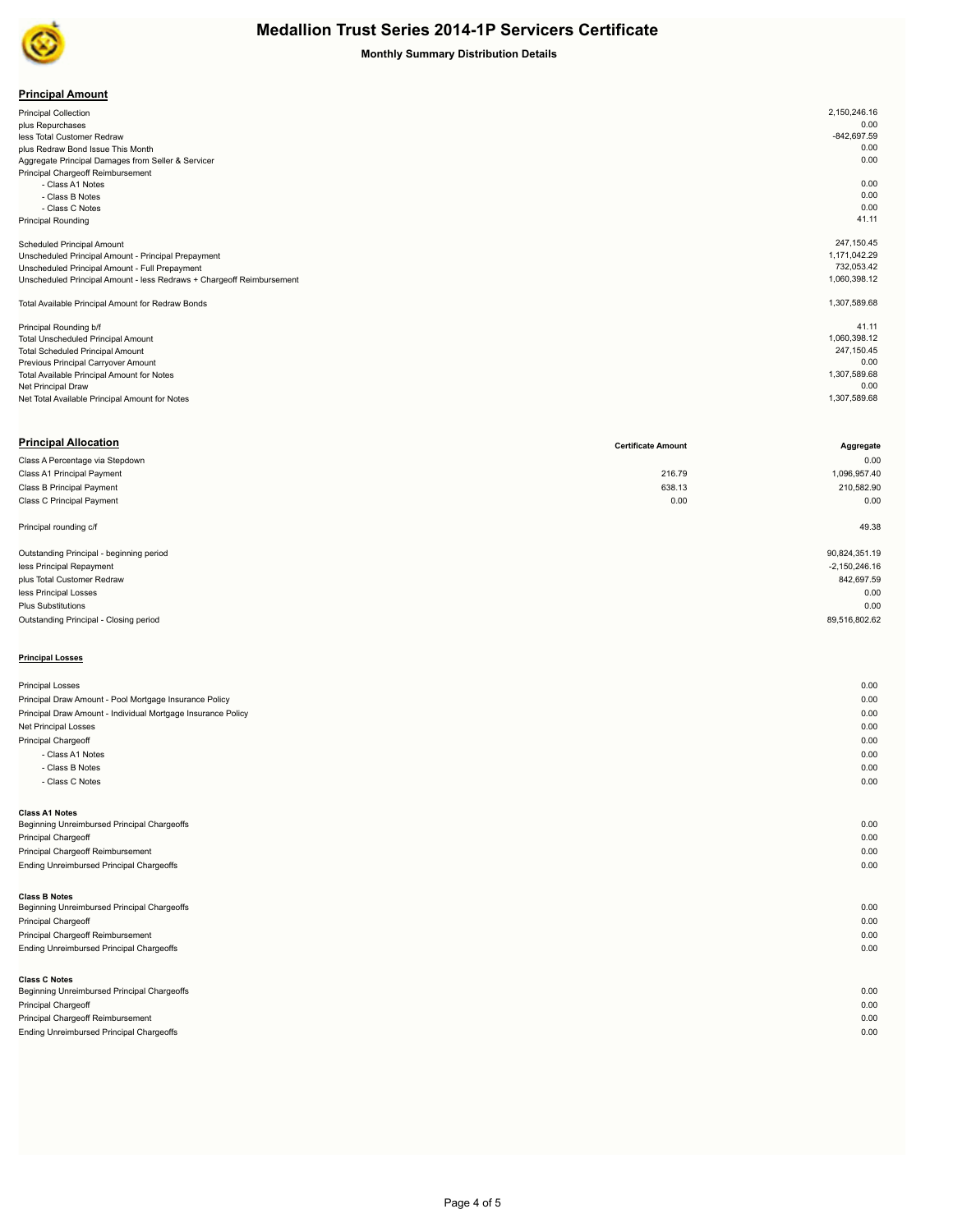

**Monthly Summary Distribution Details**

## **Principal Amount**

| .                                                                     |               |  |
|-----------------------------------------------------------------------|---------------|--|
| <b>Principal Collection</b>                                           | 2,150,246.16  |  |
| plus Repurchases                                                      | 0.00          |  |
| less Total Customer Redraw                                            | $-842,697.59$ |  |
| plus Redraw Bond Issue This Month                                     | 0.00          |  |
| Aggregate Principal Damages from Seller & Servicer                    | 0.00          |  |
| Principal Chargeoff Reimbursement                                     |               |  |
| - Class A1 Notes                                                      | 0.00          |  |
| - Class B Notes                                                       | 0.00          |  |
| - Class C Notes                                                       | 0.00          |  |
| <b>Principal Rounding</b>                                             | 41.11         |  |
|                                                                       |               |  |
| Scheduled Principal Amount                                            | 247,150.45    |  |
| Unscheduled Principal Amount - Principal Prepayment                   | 1,171,042.29  |  |
| Unscheduled Principal Amount - Full Prepayment                        | 732,053.42    |  |
| Unscheduled Principal Amount - less Redraws + Chargeoff Reimbursement | 1,060,398.12  |  |
|                                                                       |               |  |
| Total Available Principal Amount for Redraw Bonds                     | 1,307,589.68  |  |
|                                                                       |               |  |
| Principal Rounding b/f                                                | 41.11         |  |
| Total Unscheduled Principal Amount                                    | 1,060,398.12  |  |
| <b>Total Scheduled Principal Amount</b>                               | 247,150.45    |  |
| Previous Principal Carryover Amount                                   | 0.00          |  |
| Total Available Principal Amount for Notes                            | 1,307,589.68  |  |
| Net Principal Draw                                                    | 0.00          |  |
| Net Total Available Principal Amount for Notes                        | 1,307,589.68  |  |

| <b>Principal Allocation</b>              | <b>Certificate Amount</b> | Aggregate       |
|------------------------------------------|---------------------------|-----------------|
| Class A Percentage via Stepdown          |                           | 0.00            |
| Class A1 Principal Payment               | 216.79                    | 1,096,957.40    |
| Class B Principal Payment                | 638.13                    | 210,582.90      |
| Class C Principal Payment                | 0.00                      | 0.00            |
| Principal rounding c/f                   |                           | 49.38           |
| Outstanding Principal - beginning period |                           | 90,824,351.19   |
| less Principal Repayment                 |                           | $-2,150,246.16$ |
| plus Total Customer Redraw               |                           | 842,697.59      |
| less Principal Losses                    |                           | 0.00            |
| <b>Plus Substitutions</b>                |                           | 0.00            |
| Outstanding Principal - Closing period   |                           | 89,516,802.62   |
|                                          |                           |                 |

## **Principal Losses**

| <b>Principal Losses</b>                                      | 0.00 |
|--------------------------------------------------------------|------|
| Principal Draw Amount - Pool Mortgage Insurance Policy       | 0.00 |
| Principal Draw Amount - Individual Mortgage Insurance Policy | 0.00 |
| Net Principal Losses                                         | 0.00 |
| Principal Chargeoff                                          | 0.00 |
| - Class A1 Notes                                             | 0.00 |
| - Class B Notes                                              | 0.00 |
| - Class C Notes                                              | 0.00 |
|                                                              |      |
| <b>Class A1 Notes</b>                                        |      |
| Beginning Unreimbursed Principal Chargeoffs                  | 0.00 |
| Principal Chargeoff                                          | 0.00 |
| Principal Chargeoff Reimbursement                            | 0.00 |
| Ending Unreimbursed Principal Chargeoffs                     | 0.00 |
| <b>Class B Notes</b>                                         |      |
| Beginning Unreimbursed Principal Chargeoffs                  | 0.00 |
| Principal Chargeoff                                          | 0.00 |
| Principal Chargeoff Reimbursement                            | 0.00 |
| Ending Unreimbursed Principal Chargeoffs                     | 0.00 |
| <b>Class C Notes</b>                                         |      |
| Beginning Unreimbursed Principal Chargeoffs                  | 0.00 |
| <b>Principal Chargeoff</b>                                   | 0.00 |
| Principal Chargeoff Reimbursement                            | 0.00 |
| <b>Ending Unreimbursed Principal Chargeoffs</b>              | 0.00 |